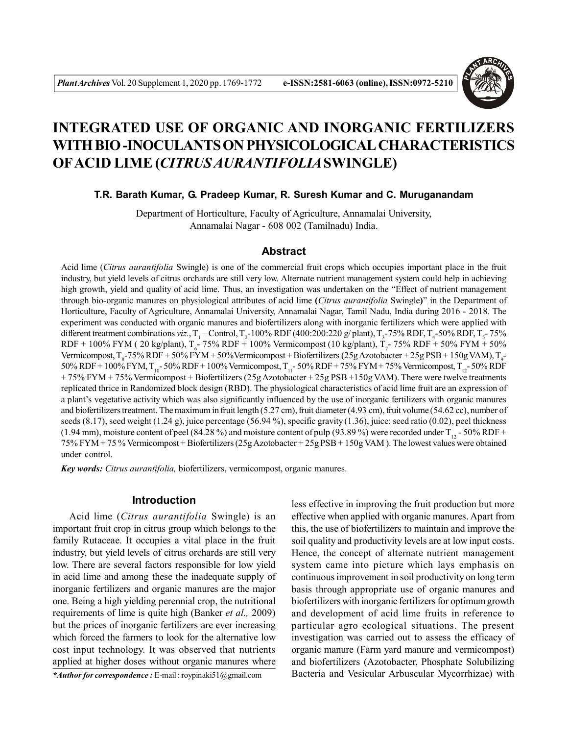

# **INTEGRATED USE OF ORGANIC AND INORGANIC FERTILIZERS WITH BIO -INOCULANTS ON PHYSICOLOGICAL CHARACTERISTICS OFACID LIME (***CITRUS AURANTIFOLIA***SWINGLE)**

### **T.R. Barath Kumar, G. Pradeep Kumar, R. Suresh Kumar and C. Muruganandam**

Department of Horticulture, Faculty of Agriculture, Annamalai University, Annamalai Nagar - 608 002 (Tamilnadu) India.

## **Abstract**

Acid lime (*Citrus aurantifolia* Swingle) is one of the commercial fruit crops which occupies important place in the fruit industry, but yield levels of citrus orchards are still very low. Alternate nutrient management system could help in achieving high growth, yield and quality of acid lime. Thus, an investigation was undertaken on the "Effect of nutrient management through bio-organic manures on physiological attributes of acid lime **(***Citrus aurantifolia* Swingle**)**" in the Department of Horticulture, Faculty of Agriculture, Annamalai University, Annamalai Nagar, Tamil Nadu, India during 2016 - 2018. The experiment was conducted with organic manures and biofertilizers along with inorganic fertilizers which were applied with different treatment combinations *viz*.,  $T_1$  – Control,  $T_2$ -100% RDF (400:200:220 g/ plant),  $T_3$ -75% RDF,  $T_4$ -50% RDF,  $T_5$ -75% RDF + 100% FYM ( 20 kg/plant),  $T_6$ - 75% RDF + 100% Vermicompost (10 kg/plant),  $T_7$ - 75% RDF + 50% FYM + 50% Vermicompost,  $T_g$ -75% RDF + 50% FYM + 50%Vermicompost + Biofertilizers (25g Azotobacter + 25g PSB + 150g VAM),  $T_g$ -50% RDF + 100% FYM, T<sub>10</sub>- 50% RDF + 100% Vermicompost, T<sub>11</sub>- 50% RDF + 75% FYM + 75% Vermicompost, T<sub>12</sub>- 50% RDF + 75% FYM + 75% Vermicompost + Biofertilizers (25g Azotobacter + 25g PSB +150g VAM). There were twelve treatments replicated thrice in Randomized block design (RBD). The physiological characteristics of acid lime fruit are an expression of a plant's vegetative activity which was also significantly influenced by the use of inorganic fertilizers with organic manures and biofertilizers treatment. The maximum in fruit length (5.27 cm), fruit diameter (4.93 cm), fruit volume (54.62 cc), number of seeds  $(8.17)$ , seed weight  $(1.24 \text{ g})$ , juice percentage  $(56.94 \text{ %})$ , specific gravity  $(1.36)$ , juice: seed ratio  $(0.02)$ , peel thickness (1.94 mm), moisture content of peel (84.28 %) and moisture content of pulp (93.89 %) were recorded under  $T_{12}$  - 50% RDF + 75% FYM + 75 % Vermicompost + Biofertilizers (25g Azotobacter + 25g PSB + 150g VAM ). The lowest values were obtained under control.

*Key words: Citrus aurantifolia,* biofertilizers, vermicompost, organic manures.

## **Introduction**

Acid lime (*Citrus aurantifolia* Swingle) is an important fruit crop in citrus group which belongs to the family Rutaceae. It occupies a vital place in the fruit industry, but yield levels of citrus orchards are still very low. There are several factors responsible for low yield in acid lime and among these the inadequate supply of inorganic fertilizers and organic manures are the major one. Being a high yielding perennial crop, the nutritional requirements of lime is quite high (Banker *et al.,* 2009) but the prices of inorganic fertilizers are ever increasing which forced the farmers to look for the alternative low cost input technology. It was observed that nutrients applied at higher doses without organic manures where

*\*Author for correspondence :* E-mail : roypinaki51@gmail.com

less effective in improving the fruit production but more effective when applied with organic manures. Apart from this, the use of biofertilizers to maintain and improve the soil quality and productivity levels are at low input costs. Hence, the concept of alternate nutrient management system came into picture which lays emphasis on continuous improvement in soil productivity on long term basis through appropriate use of organic manures and biofertilizers with inorganic fertilizers for optimum growth and development of acid lime fruits in reference to particular agro ecological situations. The present investigation was carried out to assess the efficacy of organic manure (Farm yard manure and vermicompost) and biofertilizers (Azotobacter, Phosphate Solubilizing Bacteria and Vesicular Arbuscular Mycorrhizae) with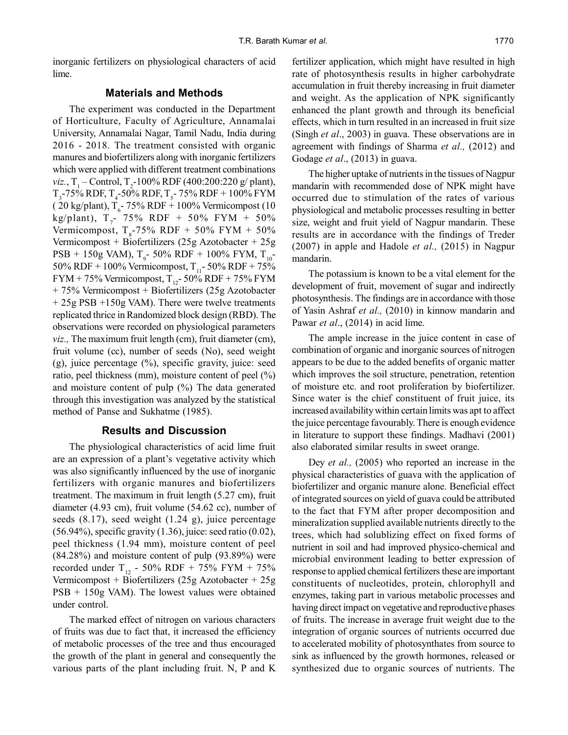inorganic fertilizers on physiological characters of acid lime.

#### **Materials and Methods**

The experiment was conducted in the Department of Horticulture, Faculty of Agriculture, Annamalai University, Annamalai Nagar, Tamil Nadu, India during 2016 - 2018. The treatment consisted with organic manures and biofertilizers along with inorganic fertilizers which were applied with different treatment combinations *viz.*,  $T_1$  – Control,  $T_2$ -100% RDF (400:200:220 g/ plant),  $T_{3}$ -75% RDF,  $T_{4}$ -50% RDF,  $T_{5}$ - 75% RDF + 100% FYM  $(20 \text{ kg/plant})$ , T<sub>6</sub> - 75% RDF + 100% Vermicompost (10) kg/plant),  $T_{7}$ - 75% RDF + 50% FYM + 50% Vermicompost,  $T_s$ -75% RDF + 50% FYM + 50% Vermicompost + Biofertilizers (25g Azotobacter + 25g  $\text{PSB} + 150\text{g}$  VAM), T<sub>9</sub>-50% RDF + 100% FYM, T<sub>10</sub>-50% RDF + 100% Vermicompost,  $T_{11}$ - 50% RDF + 75% FYM + 75% Vermicompost,  $T_{12}$ - 50% RDF + 75% FYM + 75% Vermicompost + Biofertilizers (25g Azotobacter + 25g PSB +150g VAM). There were twelve treatments replicated thrice in Randomized block design (RBD). The observations were recorded on physiological parameters *viz.,* The maximum fruit length (cm), fruit diameter (cm), fruit volume (cc), number of seeds (No), seed weight  $(g)$ , juice percentage  $(\%)$ , specific gravity, juice: seed ratio, peel thickness (mm), moisture content of peel (%) and moisture content of pulp (%) The data generated through this investigation was analyzed by the statistical method of Panse and Sukhatme (1985).

#### **Results and Discussion**

The physiological characteristics of acid lime fruit are an expression of a plant's vegetative activity which was also significantly influenced by the use of inorganic fertilizers with organic manures and biofertilizers treatment. The maximum in fruit length (5.27 cm), fruit diameter (4.93 cm), fruit volume (54.62 cc), number of seeds (8.17), seed weight (1.24 g), juice percentage (56.94%), specific gravity (1.36), juice: seed ratio (0.02), peel thickness (1.94 mm), moisture content of peel (84.28%) and moisture content of pulp (93.89%) were recorded under T<sub>12</sub> - 50% RDF + 75% FYM + 75% Vermicompost + Biofertilizers (25g Azotobacter + 25g  $PSB + 150g$  VAM). The lowest values were obtained under control.

The marked effect of nitrogen on various characters of fruits was due to fact that, it increased the efficiency of metabolic processes of the tree and thus encouraged the growth of the plant in general and consequently the various parts of the plant including fruit. N, P and K fertilizer application, which might have resulted in high rate of photosynthesis results in higher carbohydrate accumulation in fruit thereby increasing in fruit diameter and weight. As the application of NPK significantly enhanced the plant growth and through its beneficial effects, which in turn resulted in an increased in fruit size (Singh *et al*., 2003) in guava. These observations are in agreement with findings of Sharma *et al.,* (2012) and Godage *et al*., (2013) in guava.

The higher uptake of nutrients in the tissues of Nagpur mandarin with recommended dose of NPK might have occurred due to stimulation of the rates of various physiological and metabolic processes resulting in better size, weight and fruit yield of Nagpur mandarin. These results are in accordance with the findings of Treder (2007) in apple and Hadole *et al.,* (2015) in Nagpur mandarin.

The potassium is known to be a vital element for the development of fruit, movement of sugar and indirectly photosynthesis. The findings are in accordance with those of Yasin Ashraf *et al.,* (2010) in kinnow mandarin and Pawar *et al*., (2014) in acid lime.

The ample increase in the juice content in case of combination of organic and inorganic sources of nitrogen appears to be due to the added benefits of organic matter which improves the soil structure, penetration, retention of moisture etc. and root proliferation by biofertilizer. Since water is the chief constituent of fruit juice, its increased availability within certain limits was apt to affect the juice percentage favourably. There is enough evidence in literature to support these findings. Madhavi (2001) also elaborated similar results in sweet orange.

Dey *et al.,* (2005) who reported an increase in the physical characteristics of guava with the application of biofertilizer and organic manure alone. Beneficial effect of integrated sources on yield of guava could be attributed to the fact that FYM after proper decomposition and mineralization supplied available nutrients directly to the trees, which had solublizing effect on fixed forms of nutrient in soil and had improved physico-chemical and microbial environment leading to better expression of response to applied chemical fertilizers these are important constituents of nucleotides, protein, chlorophyll and enzymes, taking part in various metabolic processes and having direct impact on vegetative and reproductive phases of fruits. The increase in average fruit weight due to the integration of organic sources of nutrients occurred due to accelerated mobility of photosynthates from source to sink as influenced by the growth hormones, released or synthesized due to organic sources of nutrients. The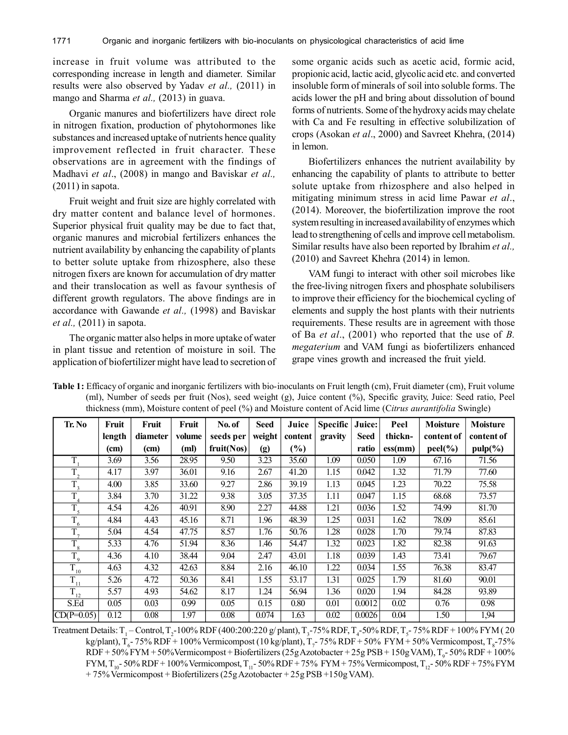increase in fruit volume was attributed to the corresponding increase in length and diameter. Similar results were also observed by Yadav *et al.,* (2011) in mango and Sharma *et al.,* (2013) in guava.

Organic manures and biofertilizers have direct role in nitrogen fixation, production of phytohormones like substances and increased uptake of nutrients hence quality improvement reflected in fruit character. These observations are in agreement with the findings of Madhavi *et al*., (2008) in mango and Baviskar *et al.,*  $(2011)$  in sapota.

Fruit weight and fruit size are highly correlated with dry matter content and balance level of hormones. Superior physical fruit quality may be due to fact that, organic manures and microbial fertilizers enhances the nutrient availability by enhancing the capability of plants to better solute uptake from rhizosphere, also these nitrogen fixers are known for accumulation of dry matter and their translocation as well as favour synthesis of different growth regulators. The above findings are in accordance with Gawande *et al.,* (1998) and Baviskar *et al.,* (2011) in sapota.

The organic matter also helps in more uptake of water in plant tissue and retention of moisture in soil. The application of biofertilizer might have lead to secretion of some organic acids such as acetic acid, formic acid, propionic acid, lactic acid, glycolic acid etc. and converted insoluble form of minerals of soil into soluble forms. The acids lower the pH and bring about dissolution of bound forms of nutrients. Some of the hydroxy acids may chelate with Ca and Fe resulting in effective solubilization of crops (Asokan *et al*., 2000) and Savreet Khehra, (2014) in lemon.

Biofertilizers enhances the nutrient availability by enhancing the capability of plants to attribute to better solute uptake from rhizosphere and also helped in mitigating minimum stress in acid lime Pawar *et al*., (2014). Moreover, the biofertilization improve the root system resulting in increased availability of enzymes which lead to strengthening of cells and improve cell metabolism. Similar results have also been reported by Ibrahim *et al.,* (2010) and Savreet Khehra (2014) in lemon.

VAM fungi to interact with other soil microbes like the free-living nitrogen fixers and phosphate solubilisers to improve their efficiency for the biochemical cycling of elements and supply the host plants with their nutrients requirements. These results are in agreement with those of Ba *et al*., (2001) who reported that the use of *B. megaterium* and VAM fungi as biofertilizers enhanced grape vines growth and increased the fruit yield.

| Tr. No                | Fruit  | Fruit    | Fruit  | No. of     | <b>Seed</b> | Juice                        | <b>Specific</b> | Juice:      | Peel               | <b>Moisture</b> | <b>Moisture</b> |
|-----------------------|--------|----------|--------|------------|-------------|------------------------------|-----------------|-------------|--------------------|-----------------|-----------------|
|                       | length | diameter | volume | seeds per  | weight      | content                      | gravity         | <b>Seed</b> | thickn-            | content of      | content of      |
|                       | (cm)   | (cm)     | (ml)   | fruit(Nos) | (g)         | $\left( \frac{9}{6} \right)$ |                 | ratio       | $\mathbf{ess}(mm)$ | $peel(\%)$      | $pulp(\%)$      |
| T                     | 3.69   | 3.56     | 28.95  | 9.50       | 3.23        | 35.60                        | 1.09            | 0.050       | 1.09               | 67.16           | 71.56           |
| $T_{2}$               | 4.17   | 3.97     | 36.01  | 9.16       | 2.67        | 41.20                        | 1.15            | 0.042       | 1.32               | 71.79           | 77.60           |
| $\overline{T}_3$      | 4.00   | 3.85     | 33.60  | 9.27       | 2.86        | 39.19                        | 1.13            | 0.045       | 1.23               | 70.22           | 75.58           |
| T                     | 3.84   | 3.70     | 31.22  | 9.38       | 3.05        | 37.35                        | 1.11            | 0.047       | 1.15               | 68.68           | 73.57           |
| $\overline{T}_5$      | 4.54   | 4.26     | 40.91  | 8.90       | 2.27        | 44.88                        | 1.21            | 0.036       | 1.52               | 74.99           | 81.70           |
| $T_{6}$               | 4.84   | 4.43     | 45.16  | 8.71       | 1.96        | 48.39                        | 1.25            | 0.031       | 1.62               | 78.09           | 85.61           |
| $T_{\tau}$            | 5.04   | 4.54     | 47.75  | 8.57       | 1.76        | 50.76                        | 1.28            | 0.028       | 1.70               | 79.74           | 87.83           |
| $\overline{T}_8$      | 5.33   | 4.76     | 51.94  | 8.36       | 1.46        | 54.47                        | 1.32            | 0.023       | 1.82               | 82.38           | 91.63           |
| T<br>$\mathbf{1}_{9}$ | 4.36   | 4.10     | 38.44  | 9.04       | 2.47        | 43.01                        | 1.18            | 0.039       | 1.43               | 73.41           | 79.67           |
| $\overline{T}_{10}$   | 4.63   | 4.32     | 42.63  | 8.84       | 2.16        | 46.10                        | 1.22            | 0.034       | 1.55               | 76.38           | 83.47           |
| $\overline{T}_{11}$   | 5.26   | 4.72     | 50.36  | 8.41       | 1.55        | 53.17                        | 1.31            | 0.025       | 1.79               | 81.60           | 90.01           |
| $\overline{T}_{12}$   | 5.57   | 4.93     | 54.62  | 8.17       | 1.24        | 56.94                        | 1.36            | 0.020       | 1.94               | 84.28           | 93.89           |
| S.Ed                  | 0.05   | 0.03     | 0.99   | 0.05       | 0.15        | 0.80                         | 0.01            | 0.0012      | 0.02               | 0.76            | 0.98            |
| $CD(P=0.05)$          | 0.12   | 0.08     | 1.97   | 0.08       | 0.074       | 1.63                         | 0.02            | 0.0026      | 0.04               | 1.50            | 1,94            |

**Table 1:** Efficacy of organic and inorganic fertilizers with bio-inoculants on Fruit length (cm), Fruit diameter (cm), Fruit volume (ml), Number of seeds per fruit (Nos), seed weight (g), Juice content (%), Specific gravity, Juice: Seed ratio, Peel thickness (mm), Moisture content of peel (%) and Moisture content of Acid lime (C*itrus aurantifolia* Swingle)

Treatment Details:  $T_1$  – Control,  $T_2$ -100% RDF (400:200:220 g/ plant),  $T_3$ -75% RDF,  $T_4$ -50% RDF,  $T_5$ -75% RDF + 100% FYM (20 kg/plant),  $T_c$ - 75% RDF + 100% Vermicompost (10 kg/plant),  $T_7$ - 75% RDF + 50% FYM + 50% Vermicompost,  $T_8$ -75%  $RDF + 50\%$  FYM + 50%Vermicompost + Biofertilizers (25g Azotobacter + 25g PSB + 150g VAM), T<sub>9</sub>-50% RDF + 100% FYM,  $T_{10}$ - 50% RDF + 100% Vermicompost,  $T_{11}$ - 50% RDF + 75% FYM + 75% Vermicompost,  $T_{12}$ - 50% RDF + 75% FYM + 75% Vermicompost + Biofertilizers (25g Azotobacter + 25g PSB +150g VAM).